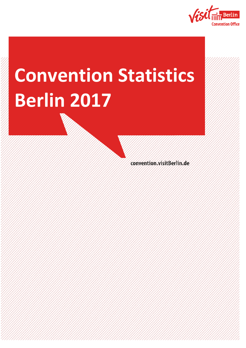

# **Convention Statistics Berlin 2017**

convention.visitBerlin.de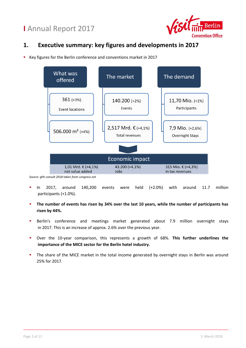

#### **1. Executive summary: key figures and developments in 2017**

Key figures for the Berlin conference and conventions market in 2017



- In 2017, around 140,200 events were held (+2.0%) with around 11.7 million participants (+1.0%).
- **The number of events has risen by 34% over the last 10 years, while the number of participants has risen by 44%.**
- **Berlin's conference and meetings market generated about 7.9 million overnight stays** in 2017. This is an increase of approx. 2.6% over the previous year.
- Over the 10-year comparison, this represents a growth of 68%. **This further underlines the importance of the MICE sector for the Berlin hotel industry.**
- The share of the MICE market in the total income generated by overnight stays in Berlin was around 25% for 2017.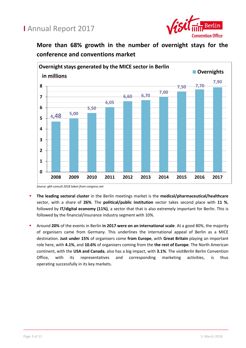

**More than 68% growth in the number of overnight stays for the conference and conventions market**



*Source: ghh consult 2018 taken from congress.net*

- **The leading sectoral cluster** in the Berlin meetings market is the **medical/pharmaceutical/healthcare** sector, with a share of **26%**. The **political/public institution** sector takes second place with **11 %**, followed by **IT/digital economy (11%)**, a sector that that is also extremely important for Berlin. This is followed by the financial/insurance industry segment with 10%.
- Around **20%** of the events in Berlin **in 2017 were on an international scale**. At a good 80%, the majority of organisers came from Germany. This underlines the international appeal of Berlin as a MICE destination. **Just under 15%** of organisers come **from Europe**, with **Great Britain** playing an important role here, with **4.1%**, and **10.6%** of organisers coming from the **the rest of Europe**. The North American continent, with the **USA and Canada**, also has a big impact, with **3.1%**. The *visitBerlin* Berlin Convention Office, with its representatives and corresponding marketing activities, is thus operating successfully in its key markets.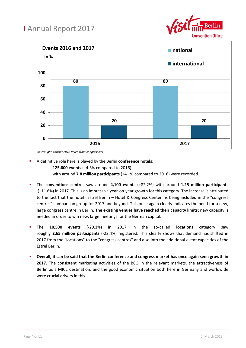



*Source: ghh consult 2018 taken from congress.net*

A definitive role here is played by the Berlin **conference hotels**:

**125,600 events** (+4.3% compared to 2016)

with around **7.8 million participants** (+4.1% compared to 2016) were recorded.

- The **conventions centres** saw around **4,100 events** (+82.2%) with around **1.25 million participants** (+11.6%) in 2017. This is an impressive year-on-year growth for this category. The increase is attributed to the fact that the hotel "Estrel Berlin – Hotel & Congress Center" is being included in the "congress centres" comparison group for 2017 and beyond. This once again clearly indicates the need for a new, large congress centre in Berlin. **The existing venues have reached their capacity limits**; new capacity is needed in order to win new, large meetings for the German capital.
- The **10,500 events** (-29.1%) in 2017 in the so-called **locations** category saw roughly **2.65 million participants** (-22.4%) registered. This clearly shows that demand has shifted in 2017 from the "locations" to the "congress centres" and also into the additional event capacities of the Estrel Berlin.
- **Overall, it can be said that the Berlin conference and congress market has once again seen growth in 2017.** The consistent marketing activities of the BCO in the relevant markets, the attractiveness of Berlin as a MICE destination, and the good economic situation both here in Germany and worldwide were crucial drivers in this.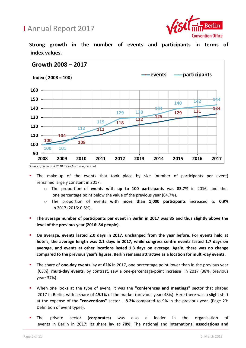

**Strong growth in the number of events and participants in terms of index values.**



*Source: ghh consult 2018 taken from congress.net*

- The make-up of the events that took place by size (number of participants per event) remained largely constant in 2017.
	- o The proportion of **events with up to 100 participants** was **83.7%** in 2016, and thus one percentage point below the value of the previous year (84.7%).
	- o The proportion of events **with more than 1,000 participants** increased to **0.9%** in 2017 (2016: 0.5%).
- **The average number of participants per event in Berlin in 2017 was 85 and thus slightly above the level of the previous year (2016: 84 people).**
- **On average, events lasted 2.0 days in 2017, unchanged from the year before. For events held at hotels, the average length was 2.1 days in 2017, while congress centre events lasted 1.7 days on average, and events at other locations lasted 1.3 days on average. Again, there was no change compared to the previous year's figures. Berlin remains attractive as a location for multi-day events.**
- The share of **one-day events** lay at **62%** in 2017, one percentage point lower than in the previous year (63%); **multi-day events**, by contrast, saw a one-percentage-point increase in 2017 (38%, previous year: 37%).
- When one looks at the type of event, it was the **"conferences and meetings"** sector that shaped 2017 in Berlin, with a share of **49.1%** of the market (previous year: 48%). Here there was a slight shift at the expense of the **"conventions"** sector – **8.2%** compared to 9% in the previous year. (Page 23: Definition of event types).
- The private sector (**corporates**) was also a leader in the organisation of events in Berlin in 2017: its share lay at **70%**. The national and international **associations and**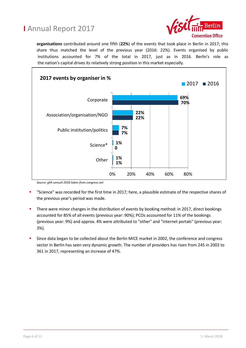

**organisations** contributed around one fifth (**22%**) of the events that took place in Berlin in 2017; this share thus matched the level of the previous year (2016: 22%). Events organised by public institutions accounted for 7% of the total in 2017, just as in 2016. Berlin's role as the nation's capital drives its relatively strong position in this market especially.



*Source: ghh consult 2018 taken from congress.net*

- "Science" was recorded for the first time in 2017; here, a plausible estimate of the respective shares of the previous year's period was made.
- There were minor changes in the distribution of events by booking method: in 2017, direct bookings accounted for 85% of all events (previous year: 90%); PCOs accounted for 11% of the bookings (previous year: 9%) and approx. 4% were attributed to "other" and "internet portals" (previous year: 3%).
- Since data began to be collected about the Berlin MICE market in 2002, the conference and congress sector in Berlin has seen very dynamic growth. The number of providers has risen from 245 in 2002 to 361 in 2017, representing an increase of 47%.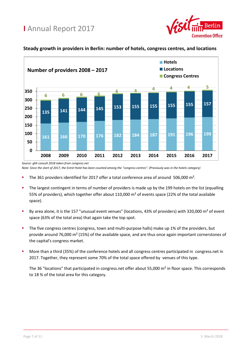



#### **Steady growth in providers in Berlin: number of hotels, congress centres, and locations**

- The 361 providers identified for 2017 offer a total conference area of around 506,000 m².
- The largest contingent in terms of number of providers is made up by the 199 hotels on the list (equalling 55% of providers), which together offer about 110,000 m² of events space (22% of the total available space).
- By area alone, it is the 157 "unusual event venues" (locations, 43% of providers) with 320,000 m² of event space (63% of the total area) that again take the top spot.
- The five congress centres (congress, town and multi-purpose halls) make up 1% of the providers, but provide around 76,000 m² (15%) of the available space, and are thus once again important cornerstones of the capital's congress market.
- More than a third (35%) of the conference hotels and all congress centres participated in congress.net in 2017. Together, they represent some 70% of the total space offered by venues of this type.

The 36 "locations" that participated in congress.net offer about 55,000  $m<sup>2</sup>$  in floor space. This corresponds to 18 % of the total area for this category.

*Source: ghh consult 2018 taken from congress.net Note: Since the start of 2017, the Estrel Hotel has been counted among the "congress centres". (Previously was in the hotels category)*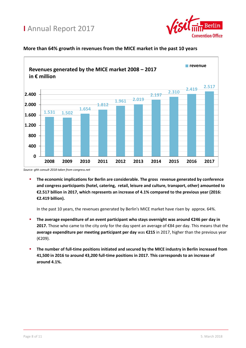



#### **More than 64% growth in revenues from the MICE market in the past 10 years**

 **The economic implications for Berlin are considerable. The gross revenue generated by conference and congress participants (hotel, catering, retail, leisure and culture, transport, other) amounted to €2.517 billion in 2017, which represents an increase of 4.1% compared to the previous year (2016: €2.419 billion).**

In the past 10 years, the revenues generated by Berlin's MICE market have risen by approx. 64%.

- **The average expenditure of an event participant who stays overnight was around €246 per day in 2017.** Those who came to the city only for the day spent an average of €84 per day. This means that the **average expenditure per meeting participant per day** was **€215** in 2017, higher than the previous year (€209).
- **The number of full-time positions initiated and secured by the MICE industry in Berlin increased from 41,500 in 2016 to around 43,200 full-time positions in 2017. This corresponds to an increase of around 4.1%.**

*Source: ghh consult 2018 taken from congress.net*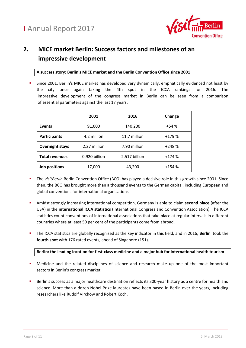

#### **2. MICE market Berlin: Success factors and milestones of an impressive development**

**A success story: Berlin's MICE market and the Berlin Convention Office since 2001**

 Since 2001, Berlin's MICE market has developed very dynamically, emphatically evidenced not least by the city once again taking the 4th spot in the ICCA rankings for 2016. The impressive development of the congress market in Berlin can be seen from a comparison of essential parameters against the last 17 years:

|                        | 2001          | 2016          | Change  |
|------------------------|---------------|---------------|---------|
| <b>Events</b>          | 91,000        | 140,200       | $+54%$  |
| <b>Participants</b>    | 4.2 million   | 11.7 million  | $+179%$ |
| <b>Overnight stays</b> | 2.27 million  | 7.90 million  | $+248%$ |
| <b>Total revenues</b>  | 0.920 billion | 2.517 billion | $+174%$ |
| Job positions          | 17,000        | 43,200        | $+154%$ |

- The *visitBerlin* Berlin Convention Office (BCO) has played a decisive role in this growth since 2001. Since then, the BCO has brought more than a thousand events to the German capital, including European and global conventions for international organisations.
- Amidst strongly increasing international competition, Germany is able to claim **second place** (after the USA) in the **international ICCA statistics** (International Congress and Convention Association). The ICCA statistics count conventions of international associations that take place at regular intervals in different countries where at least 50 per cent of the participants come from abroad.
- The ICCA statistics are globally recognised as the key indicator in this field, and in 2016, **Berlin** took the **fourth spot** with 176 rated events, ahead of Singapore (151).

**Berlin: the leading location for first-class medicine and a major hub for international health tourism**

- **•** Medicine and the related disciplines of science and research make up one of the most important sectors in Berlin's congress market.
- Berlin's success as a major healthcare destination reflects its 300-year history as a centre for health and science. More than a dozen Nobel Prize laureates have been based in Berlin over the years, including researchers like Rudolf Virchow and Robert Koch.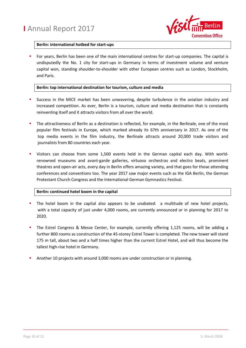

#### **Berlin: international hotbed for start-ups**

 For years, Berlin has been one of the main international centres for start-up companies. The capital is undisputedly the No. 1 city for start-ups in Germany in terms of investment volume and venture capital won, standing shoulder-to-shoulder with other European centres such as London, Stockholm, and Paris.

#### **Berlin: top international destination for tourism, culture and media**

- Success in the MICE market has been unwavering, despite turbulence in the aviation industry and increased competition. As ever, Berlin is a tourism, culture and media destination that is constantly reinventing itself and it attracts visitors from all over the world.
- The attractiveness of Berlin as a destination is reflected, for example, in the Berlinale, one of the most popular film festivals in Europe, which marked already its 67th anniversary in 2017. As one of the top media events in the film industry, the Berlinale attracts around 20,000 trade visitors and journalists from 80 countries each year.
- Visitors can choose from some 1,500 events held in the German capital each day. With worldrenowned museums and avant-garde galleries, virtuoso orchestras and electro beats, prominent theatres and open-air acts, every day in Berlin offers amazing variety, and that goes for those attending conferences and conventions too. The year 2017 saw major events such as the IGA Berlin, the German Protestant Church Congress and the International German Gymnastics Festival.

#### **Berlin: continued hotel boom in the capital**

- The hotel boom in the capital also appears to be unabated: a multitude of new hotel projects, with a total capacity of just under 4,000 rooms, are currently announced or in planning for 2017 to 2020.
- The Estrel Congress & Messe Center, for example, currently offering 1,125 rooms, will be adding a further 800 rooms as construction of the 45-storey Estrel Tower is completed. The new tower will stand 175 m tall, about two and a half times higher than the current Estrel Hotel, and will thus become the tallest high-rise hotel in Germany.
- Another 10 projects with around 3,000 rooms are under construction or in planning.